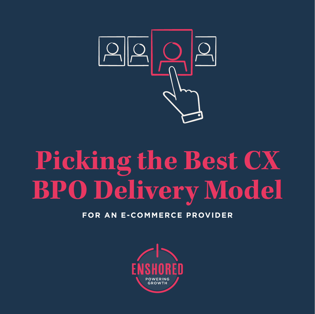

# **Picking the Best CX BPO Delivery Model**

**FOR AN E-COMMERCE PROVIDER**

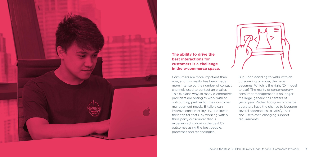

# **The ability to drive the best interactions for customers is a challenge in the e-commerce space.**

Consumers are more impatient than ever, and this reality has been made more intense by the number of contact channels used to contact an e-tailer. This explains why so many e-commerce providers are opting to work with an outsourcing partner for their customer management needs. E-tailers can improve consumer loyalty, and lower their capital costs, by working with a third-party outsourcer that is experienced in driving the best CX outcomes using the best people, processes and technologies.



But, upon deciding to work with an outsourcing provider, the issue becomes: Which is the right CX model to use? The reality of contemporary consumer management is no longer the large, generic call centers of yesteryear. Rather, today e-commerce operators have the chance to leverage several approaches to satisfy their end-users ever-changing support requirements.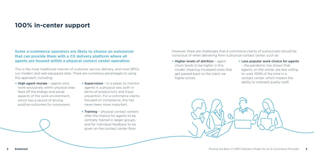# **100% in-center support**

# **Some e-commerce operators are likely to choose an outsourcer that can provide them with a CX delivery platform where all agents are housed within a physical contact center operation.**

However, there are challenges that e-commerce clients of outsourcers should be conscious of when delivering from a physical contact center, such as:

**+** Higher levels of attrition – agent churn tends to be higher in this model, meaning increased costs that get passed back to the client via higher prices.



### **+** Less popular work choice for agents – the pandemic has shown that agents, on the whole, are less willing to work 100% of the time in a contact center, which impairs the ability to onboard quality staff.

This is the most traditional manner of customer service delivery, and most BPOs run modern and well-equipped sites. There are numerous advantages to using this approach, including:

- **+** High agent morale agents who work exclusively within physical sites feed off the energy and social aspects of the work environment, which has a record of driving positive outcomes for consumers.
- **+** Supervision it is easier to monitor agents in a physical site, both in terms of productivity and fraud prevention. For e-commerce clients focused on compliance, this has never been more important.
- **+** Training physical contact centers offer the chance for agents to be centrally trained in larger groups, and for individual feedback to be given on the contact center floor.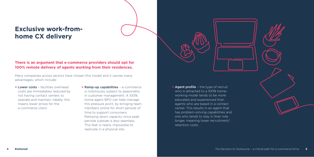# **Exclusive work-fromhome CX delivery**

## **There is an argument that e-commerce providers should opt for 100% remote delivery of agents working from their residences.**

Many companies across sectors have chosen this model and it carries many advantages, which include:

- **+** Lower costs facilities overhead costs are immediately reduced by not having contact centers to operate and maintain. Ideally, this means lower prices for the e-commerce client.
- **+** Ramp-up capabilities e-commerce is notoriously subject to seasonality in customer management. A 100% home-agent BPO can help manage this pressure point, by bringing team members online for short periods of time to support consumers. Ramping down capacity once peak periods subside is also seamless. This feat is nearly impossible to replicate in a physical site.



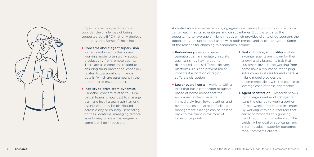

Still, e-commerce operators must consider the challenges of being supported by a BPO that only deploys remote agents. Some of these include:

**+** Concerns about agent supervision

– clients not used to the homeworking model often worry about productivity from remote agents. There are also concerns related to ensuring fraud prevention, especially related to personal and financial details (which are paramount in the e-commerce environment).

### **+** Inability to drive team dynamics

– another concern related to 100% virtual teams is how best to manage, train and instill a team spirit among agents who may be distributed across a city or country. Depending on their locations, managing remote agents may prove a challenge—for some it will be impossible.

As noted above, whether employing agents exclusively from home or in a contact center, each has its advantages and disadvantages. But, there is also the opportunity to leverage a hybrid model, which provides clients of outsourcers the opportunity to support end-users with both remote and in-center agents. Some of the reasons for choosing this approach include:

- **+** Redundancy e-commerce operators can immediately insulate against risk by having agents distributed across different delivery platforms. This can prevent major impacts if a location or region suffers a disruption.
- **+** Lower overall costs working with a BPO that has a proportion of agents based at home means that the e-commerce client benefits immediately from lower attrition and overhead costs related to facilities management. Savings can be passed back to the client in the form of lower price points.

**+** Best of both agent profiles – while in-center agents are known for their energy and vibrancy—a trait that customers love—those working from home have a reputation for helping solve complex issues for end-users. A hybrid model provides the e-commerce client with the chance to leverage each of these approaches.

**+** Agent satisfaction – research shows that a large number of CX agents want the chance to work a portion of their week at home and in-center. By working with an outsourcer that can accommodate this growing trend, recruitment is optimized. This yields higher quality applicants, and in turn results in superior outcomes for e-commerce clients.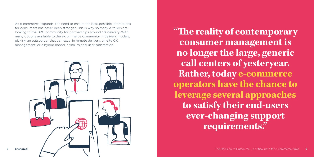**"The reality of contemporary consumer management is no longer the large, generic call centers of yesteryear. Rather, today e-commerce operators have the chance to leverage several approaches to satisfy their end-users ever-changing support requirements."** 

As e-commerce expands, the need to ensure the best possible interactions for consumers has never been stronger. This is why so many e-tailers are looking to the BPO community for partnerships around CX delivery. With many options available to the e-commerce community in delivery models, picking an outsourcer that can excel in remote delivery, on-site CX management, or a hybrid model is vital to end-user satisfaction.